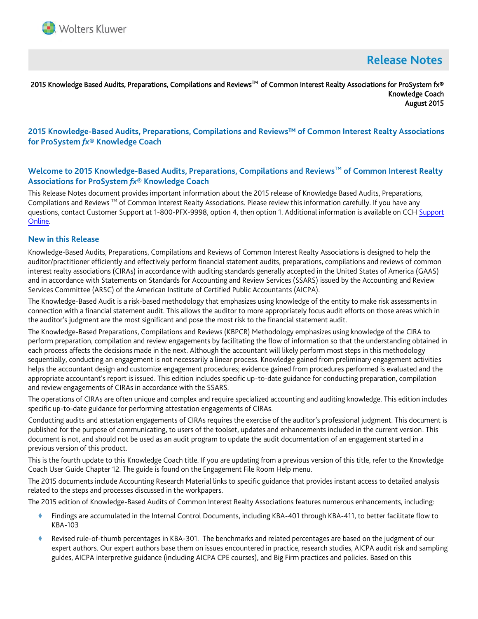

# **Release Notes**

## 2015 Knowledge Based Audits, Preparations, Compilations and Reviews™ of Common Interest Realty Associations for ProSystem fx® Knowledge Coach August 2015

# **2015 Knowledge-Based Audits, Preparations, Compilations and Reviews™ of Common Interest Realty Associations for ProSystem** *fx***® Knowledge Coach**

# **Welcome to 2015 Knowledge-Based Audits, Preparations, Compilations and ReviewsTM of Common Interest Realty Associations for ProSystem** *fx***® Knowledge Coach**

This Release Notes document provides important information about the 2015 release of Knowledge Based Audits, Preparations, Compilations and Reviews  $TM$  of Common Interest Realty Associations. Please review this information carefully. If you have any questions, contact Customer Support at 1-800-PFX-9998, option 4, then option 1. Additional information is available on CCH [Support](http://support.cch.com/productsupport/)  [Online.](http://support.cch.com/productsupport/)

#### **New in this Release**

Knowledge-Based Audits, Preparations, Compilations and Reviews of Common Interest Realty Associations is designed to help the auditor/practitioner efficiently and effectively perform financial statement audits, preparations, compilations and reviews of common interest realty associations (CIRAs) in accordance with auditing standards generally accepted in the United States of America (GAAS) and in accordance with Statements on Standards for Accounting and Review Services (SSARS) issued by the Accounting and Review Services Committee (ARSC) of the American Institute of Certified Public Accountants (AICPA).

The Knowledge-Based Audit is a risk-based methodology that emphasizes using knowledge of the entity to make risk assessments in connection with a financial statement audit. This allows the auditor to more appropriately focus audit efforts on those areas which in the auditor's judgment are the most significant and pose the most risk to the financial statement audit.

The Knowledge-Based Preparations, Compilations and Reviews (KBPCR) Methodology emphasizes using knowledge of the CIRA to perform preparation, compilation and review engagements by facilitating the flow of information so that the understanding obtained in each process affects the decisions made in the next. Although the accountant will likely perform most steps in this methodology sequentially, conducting an engagement is not necessarily a linear process. Knowledge gained from preliminary engagement activities helps the accountant design and customize engagement procedures; evidence gained from procedures performed is evaluated and the appropriate accountant's report is issued. This edition includes specific up-to-date guidance for conducting preparation, compilation and review engagements of CIRAs in accordance with the SSARS.

The operations of CIRAs are often unique and complex and require specialized accounting and auditing knowledge. This edition includes specific up-to-date guidance for performing attestation engagements of CIRAs.

Conducting audits and attestation engagements of CIRAs requires the exercise of the auditor's professional judgment. This document is published for the purpose of communicating, to users of the toolset, updates and enhancements included in the current version. This document is not, and should not be used as an audit program to update the audit documentation of an engagement started in a previous version of this product.

This is the fourth update to this Knowledge Coach title. If you are updating from a previous version of this title, refer to the Knowledge Coach User Guide Chapter 12. The guide is found on the Engagement File Room Help menu.

The 2015 documents include Accounting Research Material links to specific guidance that provides instant access to detailed analysis related to the steps and processes discussed in the workpapers.

The 2015 edition of Knowledge-Based Audits of Common Interest Realty Associations features numerous enhancements, including:

- Findings are accumulated in the Internal Control Documents, including KBA-401 through KBA-411, to better facilitate flow to KBA-103
- Revised rule-of-thumb percentages in KBA-301. The benchmarks and related percentages are based on the judgment of our expert authors. Our expert authors base them on issues encountered in practice, research studies, AICPA audit risk and sampling guides, AICPA interpretive guidance (including AICPA CPE courses), and Big Firm practices and policies. Based on this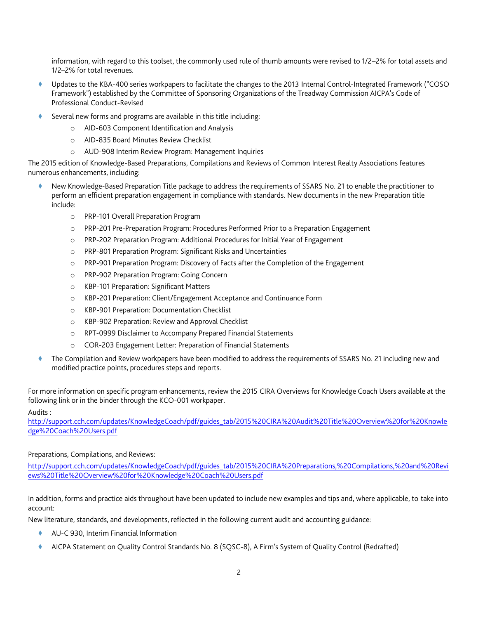information, with regard to this toolset, the commonly used rule of thumb amounts were revised to 1/2–2% for total assets and 1/2–2% for total revenues.

- Updates to the KBA-400 series workpapers to facilitate the changes to the 2013 Internal Control-Integrated Framework ("COSO Framework") established by the Committee of Sponsoring Organizations of the Treadway Commission AICPA's Code of Professional Conduct-Revised
- Several new forms and programs are available in this title including:
	- o AID-603 Component Identification and Analysis
	- o AID-835 Board Minutes Review Checklist
	- o AUD-908 Interim Review Program: Management Inquiries

The 2015 edition of Knowledge-Based Preparations, Compilations and Reviews of Common Interest Realty Associations features numerous enhancements, including:

- New Knowledge-Based Preparation Title package to address the requirements of SSARS No. 21 to enable the practitioner to perform an efficient preparation engagement in compliance with standards. New documents in the new Preparation title include:
	- o PRP-101 Overall Preparation Program
	- o PRP-201 Pre-Preparation Program: Procedures Performed Prior to a Preparation Engagement
	- o PRP-202 Preparation Program: Additional Procedures for Initial Year of Engagement
	- o PRP-801 Preparation Program: Significant Risks and Uncertainties
	- o PRP-901 Preparation Program: Discovery of Facts after the Completion of the Engagement
	- o PRP-902 Preparation Program: Going Concern
	- o KBP-101 Preparation: Significant Matters
	- o KBP-201 Preparation: Client/Engagement Acceptance and Continuance Form
	- o KBP-901 Preparation: Documentation Checklist
	- o KBP-902 Preparation: Review and Approval Checklist
	- o RPT-0999 Disclaimer to Accompany Prepared Financial Statements
	- o COR-203 Engagement Letter: Preparation of Financial Statements
- The Compilation and Review workpapers have been modified to address the requirements of SSARS No. 21 including new and modified practice points, procedures steps and reports.

For more information on specific program enhancements, review the 2015 CIRA Overviews for Knowledge Coach Users available at the following link or in the binder through the KCO-001 workpaper.

Audits :

[http://support.cch.com/updates/KnowledgeCoach/pdf/guides\\_tab/2015%20CIRA%20Audit%20Title%20Overview%20for%20Knowle](http://support.cch.com/updates/KnowledgeCoach/pdf/guides_tab/2015%20CIRA%20Audit%20Title%20Overview%20for%20Knowledge%20Coach%20Users.pdf) [dge%20Coach%20Users.pdf](http://support.cch.com/updates/KnowledgeCoach/pdf/guides_tab/2015%20CIRA%20Audit%20Title%20Overview%20for%20Knowledge%20Coach%20Users.pdf)

## Preparations, Compilations, and Reviews:

[http://support.cch.com/updates/KnowledgeCoach/pdf/guides\\_tab/2015%20CIRA%20Preparations,%20Compilations,%20and%20Revi](http://support.cch.com/updates/KnowledgeCoach/pdf/guides_tab/2015%20CIRA%20Preparations,%20Compilations,%20and%20Reviews%20Title%20Overview%20for%20Knowledge%20Coach%20Users.pdf) [ews%20Title%20Overview%20for%20Knowledge%20Coach%20Users.pdf](http://support.cch.com/updates/KnowledgeCoach/pdf/guides_tab/2015%20CIRA%20Preparations,%20Compilations,%20and%20Reviews%20Title%20Overview%20for%20Knowledge%20Coach%20Users.pdf)

In addition, forms and practice aids throughout have been updated to include new examples and tips and, where applicable, to take into account:

New literature, standards, and developments, reflected in the following current audit and accounting guidance:

- AU-C 930, Interim Financial Information
- AICPA Statement on Quality Control Standards No. 8 (SQSC-8), A Firm's System of Quality Control (Redrafted)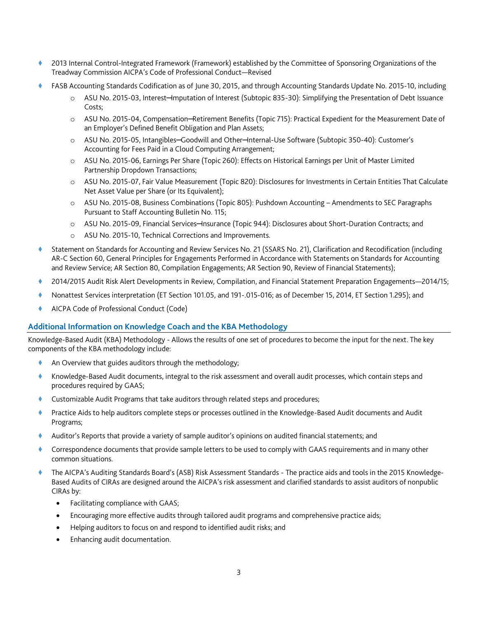- 2013 Internal Control-Integrated Framework (Framework) established by the Committee of Sponsoring Organizations of the Treadway Commission AICPA's Code of Professional Conduct—Revised
- FASB Accounting Standards Codification as of June 30, 2015, and through Accounting Standards Update No. 2015-10, including
	- o ASU No. 2015-03, Interest─Imputation of Interest (Subtopic 835-30): Simplifying the Presentation of Debt Issuance Costs;
	- o ASU No. 2015-04, Compensation─Retirement Benefits (Topic 715): Practical Expedient for the Measurement Date of an Employer's Defined Benefit Obligation and Plan Assets;
	- o ASU No. 2015-05, Intangibles─Goodwill and Other─Internal-Use Software (Subtopic 350-40): Customer's Accounting for Fees Paid in a Cloud Computing Arrangement;
	- o ASU No. 2015-06, Earnings Per Share (Topic 260): Effects on Historical Earnings per Unit of Master Limited Partnership Dropdown Transactions;
	- o ASU No. 2015-07, Fair Value Measurement (Topic 820): Disclosures for Investments in Certain Entities That Calculate Net Asset Value per Share (or Its Equivalent);
	- o ASU No. 2015-08, Business Combinations (Topic 805): Pushdown Accounting Amendments to SEC Paragraphs Pursuant to Staff Accounting Bulletin No. 115;
	- o ASU No. 2015-09, Financial Services─Insurance (Topic 944): Disclosures about Short-Duration Contracts; and
	- o ASU No. 2015-10, Technical Corrections and Improvements.
- Statement on Standards for Accounting and Review Services No. 21 (SSARS No. 21), Clarification and Recodification (including AR-C Section 60, General Principles for Engagements Performed in Accordance with Statements on Standards for Accounting and Review Service; AR Section 80, Compilation Engagements; AR Section 90, Review of Financial Statements);
- 2014/2015 Audit Risk Alert Developments in Review, Compilation, and Financial Statement Preparation Engagements—2014/15;
- Nonattest Services interpretation (ET Section 101.05, and 191-.015-016; as of December 15, 2014, ET Section 1.295); and
- AICPA Code of Professional Conduct (Code)

# **Additional Information on Knowledge Coach and the KBA Methodology**

Knowledge-Based Audit (KBA) Methodology - Allows the results of one set of procedures to become the input for the next. The key components of the KBA methodology include:

- An Overview that guides auditors through the methodology;
- Knowledge-Based Audit documents, integral to the risk assessment and overall audit processes, which contain steps and procedures required by GAAS;
- Customizable Audit Programs that take auditors through related steps and procedures;
- Practice Aids to help auditors complete steps or processes outlined in the Knowledge-Based Audit documents and Audit Programs;
- Auditor's Reports that provide a variety of sample auditor's opinions on audited financial statements; and
- Correspondence documents that provide sample letters to be used to comply with GAAS requirements and in many other common situations.
- The AICPA's Auditing Standards Board's (ASB) Risk Assessment Standards The practice aids and tools in the 2015 Knowledge-Based Audits of CIRAs are designed around the AICPA's risk assessment and clarified standards to assist auditors of nonpublic CIRAs by:
	- Facilitating compliance with GAAS;
	- Encouraging more effective audits through tailored audit programs and comprehensive practice aids;
	- Helping auditors to focus on and respond to identified audit risks; and
	- Enhancing audit documentation.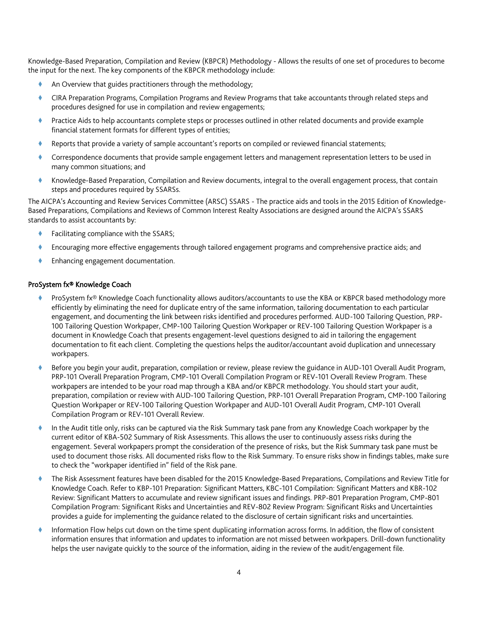Knowledge-Based Preparation, Compilation and Review (KBPCR) Methodology - Allows the results of one set of procedures to become the input for the next. The key components of the KBPCR methodology include:

- An Overview that guides practitioners through the methodology;
- CIRA Preparation Programs, Compilation Programs and Review Programs that take accountants through related steps and procedures designed for use in compilation and review engagements;
- Practice Aids to help accountants complete steps or processes outlined in other related documents and provide example financial statement formats for different types of entities;
- Reports that provide a variety of sample accountant's reports on compiled or reviewed financial statements;
- Correspondence documents that provide sample engagement letters and management representation letters to be used in many common situations; and
- Knowledge-Based Preparation, Compilation and Review documents, integral to the overall engagement process, that contain steps and procedures required by SSARSs.

The AICPA's Accounting and Review Services Committee (ARSC) SSARS - The practice aids and tools in the 2015 Edition of Knowledge-Based Preparations, Compilations and Reviews of Common Interest Realty Associations are designed around the AICPA's SSARS standards to assist accountants by:

- Facilitating compliance with the SSARS;
- Encouraging more effective engagements through tailored engagement programs and comprehensive practice aids; and
- Enhancing engagement documentation.

## ProSystem fx® Knowledge Coach

- ProSystem fx® Knowledge Coach functionality allows auditors/accountants to use the KBA or KBPCR based methodology more efficiently by eliminating the need for duplicate entry of the same information, tailoring documentation to each particular engagement, and documenting the link between risks identified and procedures performed. AUD-100 Tailoring Question, PRP-100 Tailoring Question Workpaper, CMP-100 Tailoring Question Workpaper or REV-100 Tailoring Question Workpaper is a document in Knowledge Coach that presents engagement-level questions designed to aid in tailoring the engagement documentation to fit each client. Completing the questions helps the auditor/accountant avoid duplication and unnecessary workpapers.
- Before you begin your audit, preparation, compilation or review, please review the guidance in AUD-101 Overall Audit Program, PRP-101 Overall Preparation Program, CMP-101 Overall Compilation Program or REV-101 Overall Review Program. These workpapers are intended to be your road map through a KBA and/or KBPCR methodology. You should start your audit, preparation, compilation or review with AUD-100 Tailoring Question, PRP-101 Overall Preparation Program, CMP-100 Tailoring Question Workpaper or REV-100 Tailoring Question Workpaper and AUD-101 Overall Audit Program, CMP-101 Overall Compilation Program or REV-101 Overall Review.
- In the Audit title only, risks can be captured via the Risk Summary task pane from any Knowledge Coach workpaper by the current editor of KBA-502 Summary of Risk Assessments. This allows the user to continuously assess risks during the engagement. Several workpapers prompt the consideration of the presence of risks, but the Risk Summary task pane must be used to document those risks. All documented risks flow to the Risk Summary. To ensure risks show in findings tables, make sure to check the "workpaper identified in" field of the Risk pane.
- The Risk Assessment features have been disabled for the 2015 Knowledge-Based Preparations, Compilations and Review Title for Knowledge Coach. Refer to KBP-101 Preparation: Significant Matters, KBC-101 Compilation: Significant Matters and KBR-102 Review: Significant Matters to accumulate and review significant issues and findings. PRP-801 Preparation Program, CMP-801 Compilation Program: Significant Risks and Uncertainties and REV-802 Review Program: Significant Risks and Uncertainties provides a guide for implementing the guidance related to the disclosure of certain significant risks and uncertainties.
- Information Flow helps cut down on the time spent duplicating information across forms. In addition, the flow of consistent information ensures that information and updates to information are not missed between workpapers. Drill-down functionality helps the user navigate quickly to the source of the information, aiding in the review of the audit/engagement file.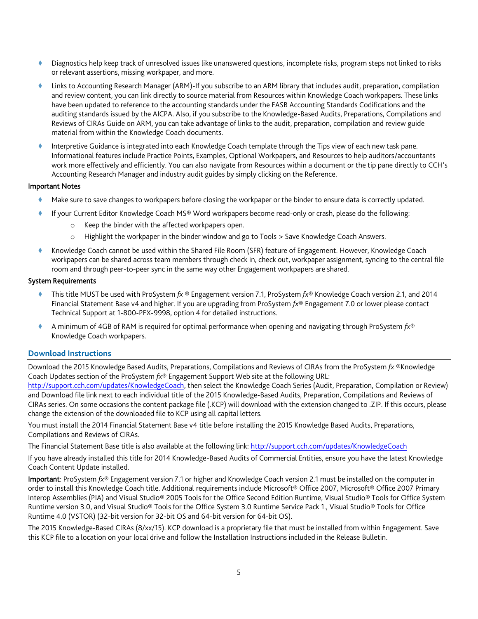- Diagnostics help keep track of unresolved issues like unanswered questions, incomplete risks, program steps not linked to risks or relevant assertions, missing workpaper, and more.
- Links to Accounting Research Manager (ARM)-If you subscribe to an ARM library that includes audit, preparation, compilation and review content, you can link directly to source material from Resources within Knowledge Coach workpapers. These links have been updated to reference to the accounting standards under the FASB Accounting Standards Codifications and the auditing standards issued by the AICPA. Also, if you subscribe to the Knowledge-Based Audits, Preparations, Compilations and Reviews of CIRAs Guide on ARM, you can take advantage of links to the audit, preparation, compilation and review guide material from within the Knowledge Coach documents.
- Interpretive Guidance is integrated into each Knowledge Coach template through the Tips view of each new task pane. Informational features include Practice Points, Examples, Optional Workpapers, and Resources to help auditors/accountants work more effectively and efficiently. You can also navigate from Resources within a document or the tip pane directly to CCH's Accounting Research Manager and industry audit guides by simply clicking on the Reference.

## Important Notes

- Make sure to save changes to workpapers before closing the workpaper or the binder to ensure data is correctly updated.
- If your Current Editor Knowledge Coach MS® Word workpapers become read-only or crash, please do the following:
	- Keep the binder with the affected workpapers open.
	- o Highlight the workpaper in the binder window and go to Tools > Save Knowledge Coach Answers.
- Knowledge Coach cannot be used within the Shared File Room (SFR) feature of Engagement. However, Knowledge Coach workpapers can be shared across team members through check in, check out, workpaper assignment, syncing to the central file room and through peer-to-peer sync in the same way other Engagement workpapers are shared.

#### System Requirements

- This title MUST be used with ProSystem *fx* ® Engagement version 7.1, ProSystem *fx*® Knowledge Coach version 2.1, and 2014 Financial Statement Base v4 and higher. If you are upgrading from ProSystem *fx*® Engagement 7.0 or lower please contact Technical Support at 1-800-PFX-9998, option 4 for detailed instructions.
- A minimum of 4GB of RAM is required for optimal performance when opening and navigating through ProSystem *fx*® Knowledge Coach workpapers.

## **Download Instructions**

Download the 2015 Knowledge Based Audits, Preparations, Compilations and Reviews of CIRAs from the ProSystem *fx* ®Knowledge Coach Updates section of the ProSystem *fx*® Engagement Support Web site at the following URL:

[http://support.cch.com/updates/KnowledgeCoach,](http://support.cch.com/updates/KnowledgeCoach) then select the Knowledge Coach Series (Audit, Preparation, Compilation or Review) and Download file link next to each individual title of the 2015 Knowledge-Based Audits, Preparation, Compilations and Reviews of CIRAs series. On some occasions the content package file (.KCP) will download with the extension changed to .ZIP. If this occurs, please change the extension of the downloaded file to KCP using all capital letters.

You must install the 2014 Financial Statement Base v4 title before installing the 2015 Knowledge Based Audits, Preparations, Compilations and Reviews of CIRAs.

The Financial Statement Base title is also available at the following link:<http://support.cch.com/updates/KnowledgeCoach>

If you have already installed this title for 2014 Knowledge-Based Audits of Commercial Entities, ensure you have the latest Knowledge Coach Content Update installed.

Important: ProSystem *fx*® Engagement version 7.1 or higher and Knowledge Coach version 2.1 must be installed on the computer in order to install this Knowledge Coach title. Additional requirements include Microsoft® Office 2007, Microsoft® Office 2007 Primary Interop Assemblies (PIA) and Visual Studio® 2005 Tools for the Office Second Edition Runtime, Visual Studio® Tools for Office System Runtime version 3.0, and Visual Studio® Tools for the Office System 3.0 Runtime Service Pack 1., Visual Studio® Tools for Office Runtime 4.0 (VSTOR) (32-bit version for 32-bit OS and 64-bit version for 64-bit OS).

The 2015 Knowledge-Based CIRAs (8/xx/15). KCP download is a proprietary file that must be installed from within Engagement. Save this KCP file to a location on your local drive and follow the Installation Instructions included in the Release Bulletin.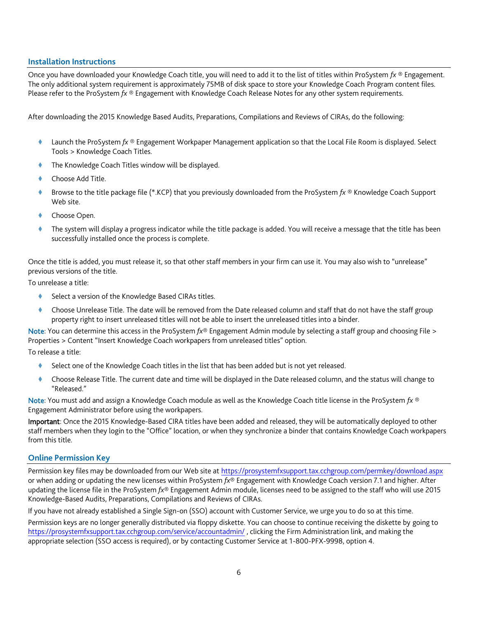## **Installation Instructions**

Once you have downloaded your Knowledge Coach title, you will need to add it to the list of titles within ProSystem *fx* ® Engagement. The only additional system requirement is approximately 75MB of disk space to store your Knowledge Coach Program content files. Please refer to the ProSystem *fx* ® Engagement with Knowledge Coach Release Notes for any other system requirements.

After downloading the 2015 Knowledge Based Audits, Preparations, Compilations and Reviews of CIRAs, do the following:

- Launch the ProSystem *fx* ® Engagement Workpaper Management application so that the Local File Room is displayed. Select Tools > Knowledge Coach Titles.
- The Knowledge Coach Titles window will be displayed.
- Choose Add Title.
- Browse to the title package file (\*.KCP) that you previously downloaded from the ProSystem *fx* ® Knowledge Coach Support Web site.
- Choose Open.
- The system will display a progress indicator while the title package is added. You will receive a message that the title has been successfully installed once the process is complete.

Once the title is added, you must release it, so that other staff members in your firm can use it. You may also wish to "unrelease" previous versions of the title.

To unrelease a title:

- Select a version of the Knowledge Based CIRAs titles.
- Choose Unrelease Title. The date will be removed from the Date released column and staff that do not have the staff group property right to insert unreleased titles will not be able to insert the unreleased titles into a binder.

Note: You can determine this access in the ProSystem *fx*® Engagement Admin module by selecting a staff group and choosing File > Properties > Content "Insert Knowledge Coach workpapers from unreleased titles" option.

To release a title:

- Select one of the Knowledge Coach titles in the list that has been added but is not yet released.
- Choose Release Title. The current date and time will be displayed in the Date released column, and the status will change to "Released."

Note: You must add and assign a Knowledge Coach module as well as the Knowledge Coach title license in the ProSystem *fx* ® Engagement Administrator before using the workpapers.

Important: Once the 2015 Knowledge-Based CIRA titles have been added and released, they will be automatically deployed to other staff members when they login to the "Office" location, or when they synchronize a binder that contains Knowledge Coach workpapers from this title.

## **Online Permission Key**

Permission key files may be downloaded from our Web site a[t https://prosystemfxsupport.tax.cchgroup.com/permkey/download.aspx](https://prosystemfxsupport.tax.cchgroup.com/permkey/download.aspx)  or when adding or updating the new licenses within ProSystem *fx*® Engagement with Knowledge Coach version 7.1 and higher. After updating the license file in the ProSystem *fx*® Engagement Admin module, licenses need to be assigned to the staff who will use 2015 Knowledge-Based Audits, Preparations, Compilations and Reviews of CIRAs.

If you have not already established a Single Sign-on (SSO) account with Customer Service, we urge you to do so at this time.

Permission keys are no longer generally distributed via floppy diskette. You can choose to continue receiving the diskette by going to <https://prosystemfxsupport.tax.cchgroup.com/service/accountadmin/> , clicking the Firm Administration link, and making the appropriate selection (SSO access is required), or by contacting Customer Service at 1-800-PFX-9998, option 4.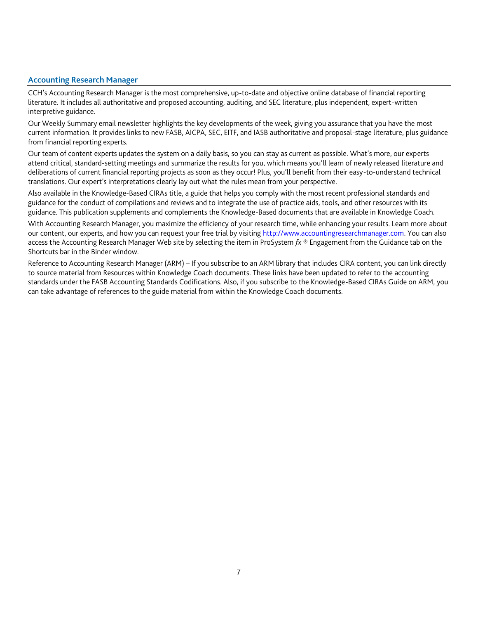# **Accounting Research Manager**

CCH's Accounting Research Manager is the most comprehensive, up-to-date and objective online database of financial reporting literature. It includes all authoritative and proposed accounting, auditing, and SEC literature, plus independent, expert-written interpretive guidance.

Our Weekly Summary email newsletter highlights the key developments of the week, giving you assurance that you have the most current information. It provides links to new FASB, AICPA, SEC, EITF, and IASB authoritative and proposal-stage literature, plus guidance from financial reporting experts.

Our team of content experts updates the system on a daily basis, so you can stay as current as possible. What's more, our experts attend critical, standard-setting meetings and summarize the results for you, which means you'll learn of newly released literature and deliberations of current financial reporting projects as soon as they occur! Plus, you'll benefit from their easy-to-understand technical translations. Our expert's interpretations clearly lay out what the rules mean from your perspective.

Also available in the Knowledge-Based CIRAs title, a guide that helps you comply with the most recent professional standards and guidance for the conduct of compilations and reviews and to integrate the use of practice aids, tools, and other resources with its guidance. This publication supplements and complements the Knowledge-Based documents that are available in Knowledge Coach.

With Accounting Research Manager, you maximize the efficiency of your research time, while enhancing your results. Learn more about our content, our experts, and how you can request your free trial by visiting [http://www.accountingresearchmanager.com.](http://www.accountingresearchmanager.com/) You can also access the Accounting Research Manager Web site by selecting the item in ProSystem *fx* ® Engagement from the Guidance tab on the Shortcuts bar in the Binder window.

Reference to Accounting Research Manager (ARM) – If you subscribe to an ARM library that includes CIRA content, you can link directly to source material from Resources within Knowledge Coach documents. These links have been updated to refer to the accounting standards under the FASB Accounting Standards Codifications. Also, if you subscribe to the Knowledge-Based CIRAs Guide on ARM, you can take advantage of references to the guide material from within the Knowledge Coach documents.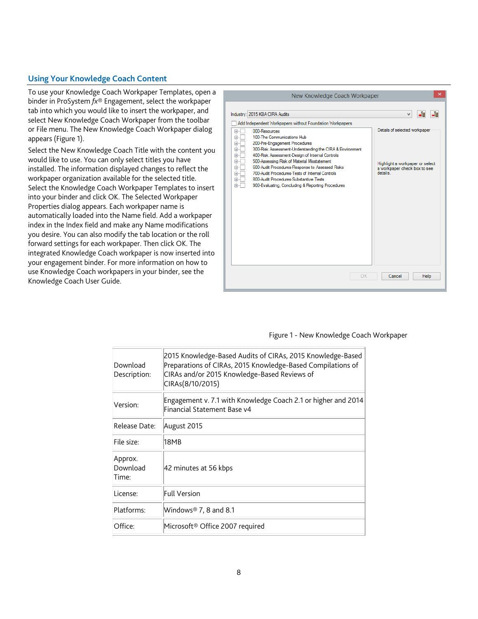# **Using Your Knowledge Coach Content**

To use your Knowledge Coach Workpaper Templates, open a binder in ProSystem *fx*® Engagement, select the workpaper tab into which you would like to insert the workpaper, and select New Knowledge Coach Workpaper from the toolbar or File menu. The New Knowledge Coach Workpaper dialog appears (Figure 1).

Select the New Knowledge Coach Title with the content you would like to use. You can only select titles you have installed. The information displayed changes to reflect the workpaper organization available for the selected title. Select the Knowledge Coach Workpaper Templates to insert into your binder and click OK. The Selected Workpaper Properties dialog appears. Each workpaper name is automatically loaded into the Name field. Add a workpaper index in the Index field and make any Name modifications you desire. You can also modify the tab location or the roll forward settings for each workpaper. Then click OK. The integrated Knowledge Coach workpaper is now inserted into your engagement binder. For more information on how to use Knowledge Coach workpapers in your binder, see the Knowledge Coach User Guide.



#### Figure 1 - New Knowledge Coach Workpaper

| Download<br>Description:     | 2015 Knowledge-Based Audits of CIRAs, 2015 Knowledge-Based<br>Preparations of CIRAs, 2015 Knowledge-Based Compilations of<br>CIRAs and/or 2015 Knowledge-Based Reviews of<br>CIRAs(8/10/2015) |
|------------------------------|-----------------------------------------------------------------------------------------------------------------------------------------------------------------------------------------------|
| Version:                     | Engagement v. 7.1 with Knowledge Coach 2.1 or higher and 2014<br>Financial Statement Base v4                                                                                                  |
| Release Date:                | August 2015                                                                                                                                                                                   |
| File size:                   | 18MB                                                                                                                                                                                          |
| Approx.<br>Download<br>Time: | 42 minutes at 56 kbps                                                                                                                                                                         |
| License:                     | <b>Full Version</b>                                                                                                                                                                           |
| Platforms:                   | Windows <sup>®</sup> 7, 8 and 8.1                                                                                                                                                             |
| Office:                      | Microsoft® Office 2007 required                                                                                                                                                               |